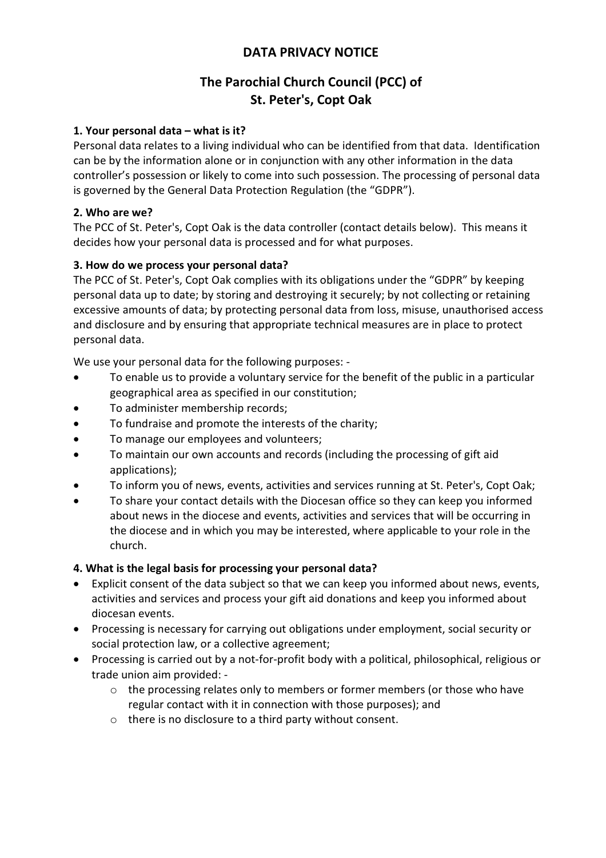## DATA PRIVACY NOTICE

# The Parochial Church Council (PCC) of St. Peter's, Copt Oak

### 1. Your personal data – what is it?

Personal data relates to a living individual who can be identified from that data. Identification can be by the information alone or in conjunction with any other information in the data controller's possession or likely to come into such possession. The processing of personal data is governed by the General Data Protection Regulation (the "GDPR").

### 2. Who are we?

The PCC of St. Peter's, Copt Oak is the data controller (contact details below). This means it decides how your personal data is processed and for what purposes.

## 3. How do we process your personal data?

The PCC of St. Peter's, Copt Oak complies with its obligations under the "GDPR" by keeping personal data up to date; by storing and destroying it securely; by not collecting or retaining excessive amounts of data; by protecting personal data from loss, misuse, unauthorised access and disclosure and by ensuring that appropriate technical measures are in place to protect personal data.

We use your personal data for the following purposes: -

- To enable us to provide a voluntary service for the benefit of the public in a particular geographical area as specified in our constitution;
- To administer membership records;
- To fundraise and promote the interests of the charity;
- To manage our employees and volunteers;
- To maintain our own accounts and records (including the processing of gift aid applications);
- To inform you of news, events, activities and services running at St. Peter's, Copt Oak;
- To share your contact details with the Diocesan office so they can keep you informed about news in the diocese and events, activities and services that will be occurring in the diocese and in which you may be interested, where applicable to your role in the church.

#### 4. What is the legal basis for processing your personal data?

- Explicit consent of the data subject so that we can keep you informed about news, events, activities and services and process your gift aid donations and keep you informed about diocesan events.
- Processing is necessary for carrying out obligations under employment, social security or social protection law, or a collective agreement;
- Processing is carried out by a not-for-profit body with a political, philosophical, religious or trade union aim provided: -
	- $\circ$  the processing relates only to members or former members (or those who have regular contact with it in connection with those purposes); and
	- o there is no disclosure to a third party without consent.